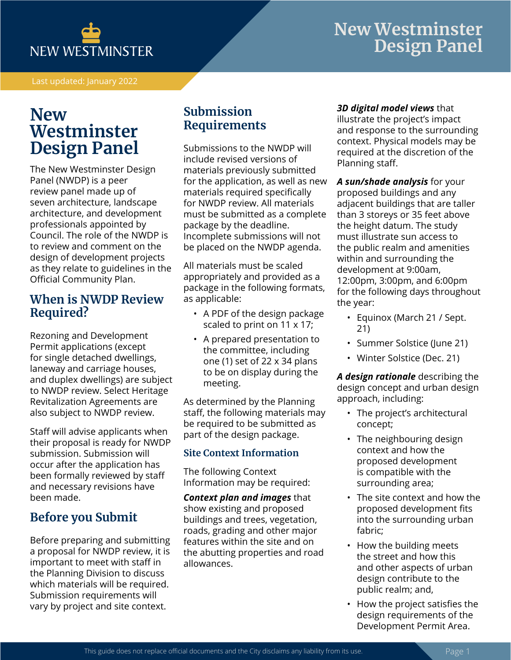

Last updated: January 2022

# **New Westminster Design Panel**

The New Westminster Design Panel (NWDP) is a peer review panel made up of seven architecture, landscape architecture, and development professionals appointed by Council. The role of the NWDP is to review and comment on the design of development projects as they relate to guidelines in the Official Community Plan.

## **When is NWDP Review Required?**

Rezoning and Development Permit applications (except for single detached dwellings, laneway and carriage houses, and duplex dwellings) are subject to NWDP review. Select Heritage Revitalization Agreements are also subject to NWDP review.

Staff will advise applicants when their proposal is ready for NWDP submission. Submission will occur after the application has been formally reviewed by staff and necessary revisions have been made.

# **Before you Submit**

Before preparing and submitting a proposal for NWDP review, it is important to meet with staff in the Planning Division to discuss which materials will be required. Submission requirements will vary by project and site context.

# **Submission Requirements**

Submissions to the NWDP will include revised versions of materials previously submitted for the application, as well as new materials required specifically for NWDP review. All materials must be submitted as a complete package by the deadline. Incomplete submissions will not be placed on the NWDP agenda.

All materials must be scaled appropriately and provided as a package in the following formats, as applicable:

- A PDF of the design package scaled to print on 11 x 17;
- A prepared presentation to the committee, including one (1) set of 22 x 34 plans to be on display during the meeting.

As determined by the Planning staff, the following materials may be required to be submitted as part of the design package.

#### **Site Context Information**

The following Context Information may be required:

*Context plan and images* that show existing and proposed buildings and trees, vegetation, roads, grading and other major features within the site and on the abutting properties and road allowances.

#### *3D digital model views* that

illustrate the project's impact and response to the surrounding context. Physical models may be required at the discretion of the Planning staff.

*A sun/shade analysis* for your proposed buildings and any adjacent buildings that are taller than 3 storeys or 35 feet above the height datum. The study must illustrate sun access to the public realm and amenities within and surrounding the development at 9:00am, 12:00pm, 3:00pm, and 6:00pm for the following days throughout the year:

- Equinox (March 21 / Sept. 21)
- Summer Solstice (June 21)
- Winter Solstice (Dec. 21)

*A design rationale* describing the design concept and urban design approach, including:

- The project's architectural concept;
- The neighbouring design context and how the proposed development is compatible with the surrounding area;
- The site context and how the proposed development fits into the surrounding urban fabric;
- How the building meets the street and how this and other aspects of urban design contribute to the public realm; and,
- How the project satisfies the design requirements of the Development Permit Area.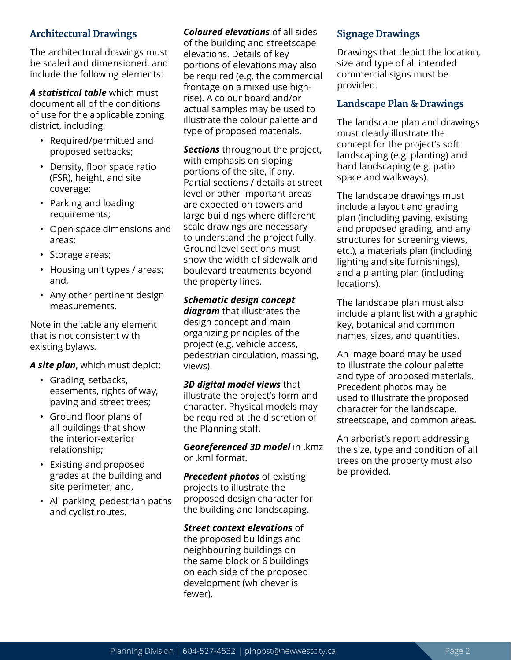#### **Architectural Drawings**

The architectural drawings must be scaled and dimensioned, and include the following elements:

*A statistical table* which must document all of the conditions of use for the applicable zoning district, including:

- Required/permitted and proposed setbacks;
- Density, floor space ratio (FSR), height, and site coverage;
- Parking and loading requirements;
- Open space dimensions and areas;
- Storage areas;
- Housing unit types / areas; and,
- Any other pertinent design measurements.

Note in the table any element that is not consistent with existing bylaws.

*A site plan*, which must depict:

- Grading, setbacks, easements, rights of way, paving and street trees;
- Ground floor plans of all buildings that show the interior-exterior relationship;
- Existing and proposed grades at the building and site perimeter; and,
- All parking, pedestrian paths and cyclist routes.

*Coloured elevations* of all sides of the building and streetscape elevations. Details of key portions of elevations may also be required (e.g. the commercial frontage on a mixed use highrise). A colour board and/or actual samples may be used to illustrate the colour palette and type of proposed materials.

*Sections* throughout the project, with emphasis on sloping portions of the site, if any. Partial sections / details at street level or other important areas are expected on towers and large buildings where different scale drawings are necessary to understand the project fully. Ground level sections must show the width of sidewalk and boulevard treatments beyond the property lines.

#### *Schematic design concept diagram* that illustrates the design concept and main organizing principles of the project (e.g. vehicle access, pedestrian circulation, massing,

views).

*3D digital model views* that illustrate the project's form and character. Physical models may be required at the discretion of the Planning staff.

*Georeferenced 3D model* in .kmz or .kml format.

*Precedent photos* of existing projects to illustrate the proposed design character for the building and landscaping.

*Street context elevations* of the proposed buildings and neighbouring buildings on the same block or 6 buildings on each side of the proposed development (whichever is fewer).

#### **Signage Drawings**

Drawings that depict the location, size and type of all intended commercial signs must be provided.

#### **Landscape Plan & Drawings**

The landscape plan and drawings must clearly illustrate the concept for the project's soft landscaping (e.g. planting) and hard landscaping (e.g. patio space and walkways).

The landscape drawings must include a layout and grading plan (including paving, existing and proposed grading, and any structures for screening views, etc.), a materials plan (including lighting and site furnishings), and a planting plan (including locations).

The landscape plan must also include a plant list with a graphic key, botanical and common names, sizes, and quantities.

An image board may be used to illustrate the colour palette and type of proposed materials. Precedent photos may be used to illustrate the proposed character for the landscape, streetscape, and common areas.

An arborist's report addressing the size, type and condition of all trees on the property must also be provided.